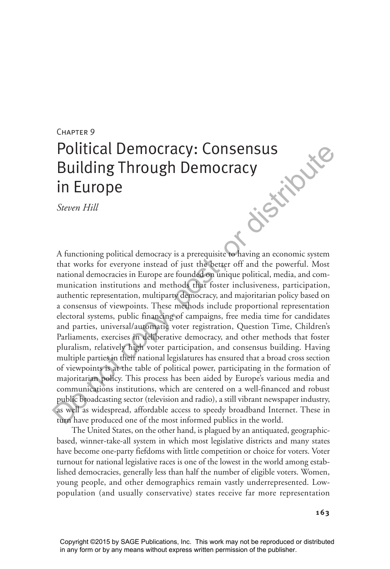# CHAPTER 9

# Political Democracy: Consensus Building Through Democracy in Europe **distribute**

*Steven Hill* 

A functioning political democracy is a prerequisite to having an economic system that works for everyone instead of just the better off and the powerful. Most national democracies in Europe are founded on unique political, media, and communication institutions and methods that foster inclusiveness, participation, authentic representation, multiparty democracy, and majoritarian policy based on a consensus of viewpoints. These methods include proportional representation electoral systems, public financing of campaigns, free media time for candidates and parties, universal/automatic voter registration, Question Time, Children's Parliaments, exercises in deliberative democracy, and other methods that foster pluralism, relatively high voter participation, and consensus building. Having multiple parties in their national legislatures has ensured that a broad cross section of viewpoints is at the table of political power, participating in the formation of majoritarian policy. This process has been aided by Europe's various media and communications institutions, which are centered on a well-financed and robust public broadcasting sector (television and radio), a still vibrant newspaper industry, as well as widespread, affordable access to speedy broadband Internet. These in turn have produced one of the most informed publics in the world.

The United States, on the other hand, is plagued by an antiquated, geographicbased, winner-take-all system in which most legislative districts and many states have become one-party fiefdoms with little competition or choice for voters. Voter turnout for national legislative races is one of the lowest in the world among established democracies, generally less than half the number of eligible voters. Women, young people, and other demographics remain vastly underrepresented. Lowpopulation (and usually conservative) states receive far more representation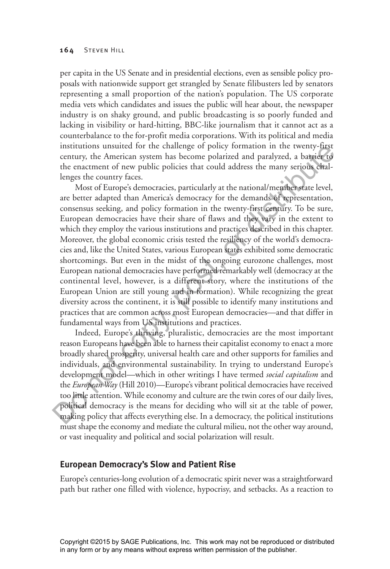per capita in the US Senate and in presidential elections, even as sensible policy proposals with nationwide support get strangled by Senate filibusters led by senators representing a small proportion of the nation's population. The US corporate media vets which candidates and issues the public will hear about, the newspaper industry is on shaky ground, and public broadcasting is so poorly funded and lacking in visibility or hard-hitting, BBC-like journalism that it cannot act as a counterbalance to the for-profit media corporations. With its political and media institutions unsuited for the challenge of policy formation in the twenty-first century, the American system has become polarized and paralyzed, a barrier to the enactment of new public policies that could address the many serious challenges the country faces.

Most of Europe's democracies, particularly at the national/member state level, are better adapted than America's democracy for the demands of representation, consensus seeking, and policy formation in the twenty-first century. To be sure, European democracies have their share of flaws and they vary in the extent to which they employ the various institutions and practices described in this chapter. Moreover, the global economic crisis tested the resiliency of the world's democracies and, like the United States, various European states exhibited some democratic shortcomings. But even in the midst of the ongoing eurozone challenges, most European national democracies have performed remarkably well (democracy at the continental level, however, is a different story, where the institutions of the European Union are still young and in formation). While recognizing the great diversity across the continent, it is still possible to identify many institutions and practices that are common across most European democracies—and that differ in fundamental ways from US institutions and practices. Institutions unsulted for the challinge of policy formation in the twenty-tuste<br>entruy, the American system has become polarized and paralyzed, a bartier of<br>the cnactment of new public policies that could address the many

Indeed, Europe's thriving, pluralistic, democracies are the most important reason Europeans have been able to harness their capitalist economy to enact a more broadly shared prosperity, universal health care and other supports for families and individuals, and environmental sustainability. In trying to understand Europe's development model—which in other writings I have termed *social capitalism* and the *European Way* (Hill 2010)—Europe's vibrant political democracies have received too little attention. While economy and culture are the twin cores of our daily lives, political democracy is the means for deciding who will sit at the table of power, making policy that affects everything else. In a democracy, the political institutions must shape the economy and mediate the cultural milieu, not the other way around, or vast inequality and political and social polarization will result.

## **European Democracy's Slow and Patient Rise**

Europe's centuries-long evolution of a democratic spirit never was a straightforward path but rather one filled with violence, hypocrisy, and setbacks. As a reaction to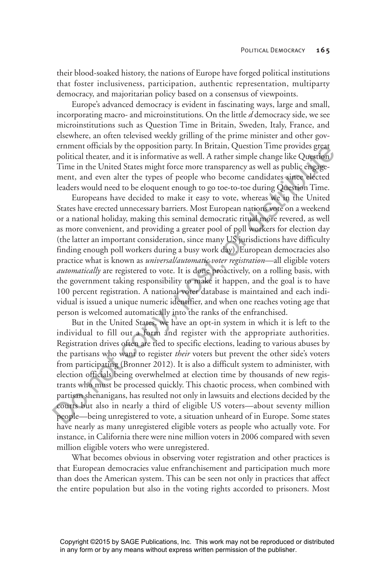their blood-soaked history, the nations of Europe have forged political institutions that foster inclusiveness, participation, authentic representation, multiparty democracy, and majoritarian policy based on a consensus of viewpoints.

Europe's advanced democracy is evident in fascinating ways, large and small, incorporating macro- and microinstitutions. On the little *d* democracy side, we see microinstitutions such as Question Time in Britain, Sweden, Italy, France, and elsewhere, an often televised weekly grilling of the prime minister and other government officials by the opposition party. In Britain, Question Time provides great political theater, and it is informative as well. A rather simple change like Question Time in the United States might force more transparency as well as public engagement, and even alter the types of people who become candidates since elected leaders would need to be eloquent enough to go toe-to-toe during Question Time.

Europeans have decided to make it easy to vote, whereas we in the United States have erected unnecessary barriers. Most European nations vote on a weekend or a national holiday, making this seminal democratic ritual more revered, as well as more convenient, and providing a greater pool of poll workers for election day (the latter an important consideration, since many US jurisdictions have difficulty finding enough poll workers during a busy work day). European democracies also practice what is known as *universal/automatic voter registration*—all eligible voters *automatically* are registered to vote. It is done proactively, on a rolling basis, with the government taking responsibility to make it happen, and the goal is to have 100 percent registration. A national voter database is maintained and each individual is issued a unique numeric identifier, and when one reaches voting age that person is welcomed automatically into the ranks of the enfranchised. erment orticals by the oppositon party. In Britan, Question larmy and positive a predict and even alter the United States might force more transparenty as well as public engagement, and even alter the types of people who

But in the United States, we have an opt-in system in which it is left to the individual to fill out a form and register with the appropriate authorities. Registration drives often are tied to specific elections, leading to various abuses by the partisans who want to register *their* voters but prevent the other side's voters from participating (Bronner 2012). It is also a difficult system to administer, with election officials being overwhelmed at election time by thousands of new registrants who must be processed quickly. This chaotic process, when combined with partisan shenanigans, has resulted not only in lawsuits and elections decided by the courts but also in nearly a third of eligible US voters—about seventy million people—being unregistered to vote, a situation unheard of in Europe. Some states have nearly as many unregistered eligible voters as people who actually vote. For instance, in California there were nine million voters in 2006 compared with seven million eligible voters who were unregistered.

What becomes obvious in observing voter registration and other practices is that European democracies value enfranchisement and participation much more than does the American system. This can be seen not only in practices that affect the entire population but also in the voting rights accorded to prisoners. Most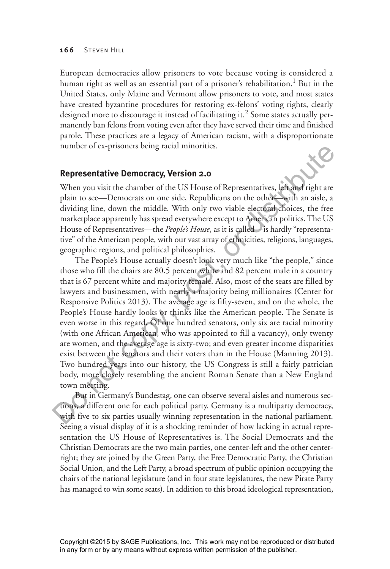European democracies allow prisoners to vote because voting is considered a human right as well as an essential part of a prisoner's rehabilitation.<sup>1</sup> But in the United States, only Maine and Vermont allow prisoners to vote, and most states have created byzantine procedures for restoring ex-felons' voting rights, clearly designed more to discourage it instead of facilitating it.<sup>2</sup> Some states actually permanently ban felons from voting even after they have served their time and finished parole. These practices are a legacy of American racism, with a disproportionate number of ex-prisoners being racial minorities.

## **Representative Democracy, Version 2.0**

When you visit the chamber of the US House of Representatives, left and right are plain to see—Democrats on one side, Republicans on the other—with an aisle, a dividing line, down the middle. With only two viable electoral choices, the free marketplace apparently has spread everywhere except to American politics. The US House of Representatives—the *People's House*, as it is called—is hardly "representative" of the American people, with our vast array of ethnicities, religions, languages, geographic regions, and political philosophies.

The People's House actually doesn't look very much like "the people," since those who fill the chairs are 80.5 percent white and 82 percent male in a country that is 67 percent white and majority female. Also, most of the seats are filled by lawyers and businessmen, with nearly a majority being millionaires (Center for Responsive Politics 2013). The average age is fifty-seven, and on the whole, the People's House hardly looks or thinks like the American people. The Senate is even worse in this regard. Of one hundred senators, only six are racial minority (with one African American, who was appointed to fill a vacancy), only twenty are women, and the average age is sixty-two; and even greater income disparities exist between the senators and their voters than in the House (Manning 2013). Two hundred years into our history, the US Congress is still a fairly patrician body, more closely resembling the ancient Roman Senate than a New England town meeting. number of ex-prisoners being racial minorities.<br> **Representative Democracy, Version 2.0**<br>
When you wisit the chamber of the US House of Representatives, left and right are<br>
plain to see—Democrats on one side, Republicans o

But in Germany's Bundestag, one can observe several aisles and numerous sections, a different one for each political party. Germany is a multiparty democracy, with five to six parties usually winning representation in the national parliament. Seeing a visual display of it is a shocking reminder of how lacking in actual representation the US House of Representatives is. The Social Democrats and the Christian Democrats are the two main parties, one center-left and the other centerright; they are joined by the Green Party, the Free Democratic Party, the Christian Social Union, and the Left Party, a broad spectrum of public opinion occupying the chairs of the national legislature (and in four state legislatures, the new Pirate Party has managed to win some seats). In addition to this broad ideological representation,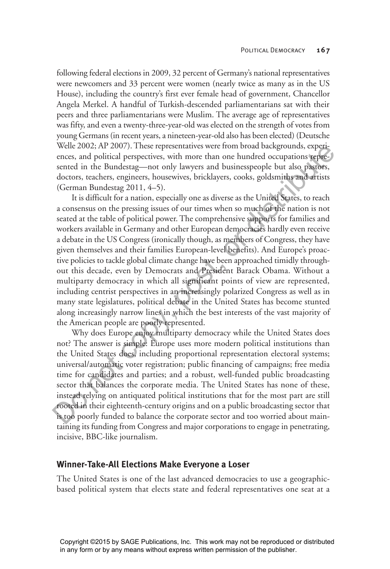following federal elections in 2009, 32 percent of Germany's national representatives were newcomers and 33 percent were women (nearly twice as many as in the US House), including the country's first ever female head of government, Chancellor Angela Merkel. A handful of Turkish-descended parliamentarians sat with their peers and three parliamentarians were Muslim. The average age of representatives was fifty, and even a twenty-three-year-old was elected on the strength of votes from young Germans (in recent years, a nineteen-year-old also has been elected) (Deutsche Welle 2002; AP 2007). These representatives were from broad backgrounds, experiences, and political perspectives, with more than one hundred occupations represented in the Bundestag—not only lawyers and businesspeople but also pastors, doctors, teachers, engineers, housewives, bricklayers, cooks, goldsmiths and artists (German Bundestag 2011, 4–5).

It is difficult for a nation, especially one as diverse as the United States, to reach a consensus on the pressing issues of our times when so much of the nation is not seated at the table of political power. The comprehensive supports for families and workers available in Germany and other European democracies hardly even receive a debate in the US Congress (ironically though, as members of Congress, they have given themselves and their families European-level benefits). And Europe's proactive policies to tackle global climate change have been approached timidly throughout this decade, even by Democrats and President Barack Obama. Without a multiparty democracy in which all significant points of view are represented, including centrist perspectives in an increasingly polarized Congress as well as in many state legislatures, political debate in the United States has become stunted along increasingly narrow lines in which the best interests of the vast majority of the American people are poorly represented. Welle 2002; AP 2007). Inese representatives were from broad backgrounds, experiences, sad political perspectives, with more than one hundred occupations species sented in the Bundestag—not only lawyers and businesspecifie

Why does Europe enjoy multiparty democracy while the United States does not? The answer is simple: Europe uses more modern political institutions than the United States does, including proportional representation electoral systems; universal/automatic voter registration; public financing of campaigns; free media time for candidates and parties; and a robust, well-funded public broadcasting sector that balances the corporate media. The United States has none of these, instead relying on antiquated political institutions that for the most part are still rooted in their eighteenth-century origins and on a public broadcasting sector that is too poorly funded to balance the corporate sector and too worried about maintaining its funding from Congress and major corporations to engage in penetrating, incisive, BBC-like journalism.

## **Winner-Take-All Elections Make Everyone a Loser**

The United States is one of the last advanced democracies to use a geographicbased political system that elects state and federal representatives one seat at a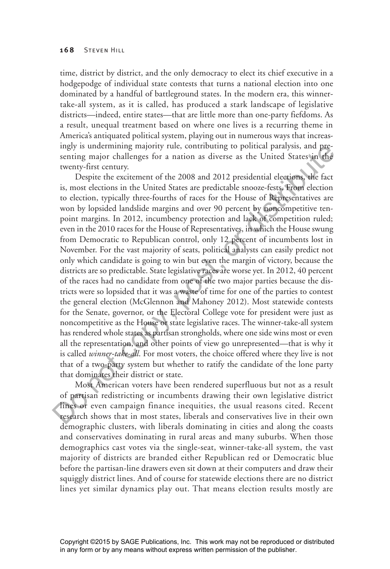time, district by district, and the only democracy to elect its chief executive in a hodgepodge of individual state contests that turns a national election into one dominated by a handful of battleground states. In the modern era, this winnertake-all system, as it is called, has produced a stark landscape of legislative districts—indeed, entire states—that are little more than one-party fiefdoms. As a result, unequal treatment based on where one lives is a recurring theme in America's antiquated political system, playing out in numerous ways that increasingly is undermining majority rule, contributing to political paralysis, and presenting major challenges for a nation as diverse as the United States in the twenty-first century.

Despite the excitement of the 2008 and 2012 presidential elections, the fact is, most elections in the United States are predictable snooze-fests. From election to election, typically three-fourths of races for the House of Representatives are won by lopsided landslide margins and over 90 percent by noncompetitive tenpoint margins. In 2012, incumbency protection and lack of competition ruled; even in the 2010 races for the House of Representatives, in which the House swung from Democratic to Republican control, only 12 percent of incumbents lost in November. For the vast majority of seats, political analysts can easily predict not only which candidate is going to win but even the margin of victory, because the districts are so predictable. State legislative races are worse yet. In 2012, 40 percent of the races had no candidate from one of the two major parties because the districts were so lopsided that it was a waste of time for one of the parties to contest the general election (McGlennon and Mahoney 2012). Most statewide contests for the Senate, governor, or the Electoral College vote for president were just as noncompetitive as the House or state legislative races. The winner-take-all system has rendered whole states as partisan strongholds, where one side wins most or even all the representation, and other points of view go unrepresented—that is why it is called *winner-take-all*. For most voters, the choice offered where they live is not that of a two-party system but whether to ratify the candidate of the lone party that dominates their district or state. ingly is underniming map any true, contributing to political paralysis, and pre-<br>energy is may in definement of the 2008 and 2012 presidential elections, the fact<br>is, most elections in the United States are predictable sn

Most American voters have been rendered superfluous but not as a result of partisan redistricting or incumbents drawing their own legislative district lines or even campaign finance inequities, the usual reasons cited. Recent research shows that in most states, liberals and conservatives live in their own demographic clusters, with liberals dominating in cities and along the coasts and conservatives dominating in rural areas and many suburbs. When those demographics cast votes via the single-seat, winner-take-all system, the vast majority of districts are branded either Republican red or Democratic blue before the partisan-line drawers even sit down at their computers and draw their squiggly district lines. And of course for statewide elections there are no district lines yet similar dynamics play out. That means election results mostly are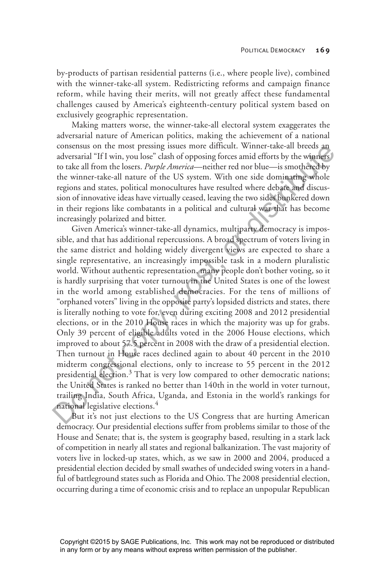by-products of partisan residential patterns (i.e., where people live), combined with the winner-take-all system. Redistricting reforms and campaign finance reform, while having their merits, will not greatly affect these fundamental challenges caused by America's eighteenth-century political system based on exclusively geographic representation.

Making matters worse, the winner-take-all electoral system exaggerates the adversarial nature of American politics, making the achievement of a national consensus on the most pressing issues more difficult. Winner-take-all breeds an adversarial "If I win, you lose" clash of opposing forces amid efforts by the winners to take all from the losers. *Purple America*—neither red nor blue—is smothered by the winner-take-all nature of the US system. With one side dominating whole regions and states, political monocultures have resulted where debate and discussion of innovative ideas have virtually ceased, leaving the two sides bunkered down in their regions like combatants in a political and cultural war that has become increasingly polarized and bitter.

Given America's winner-take-all dynamics, multiparty democracy is impossible, and that has additional repercussions. A broad spectrum of voters living in the same district and holding widely divergent views are expected to share a single representative, an increasingly impossible task in a modern pluralistic world. Without authentic representation, many people don't bother voting, so it is hardly surprising that voter turnout in the United States is one of the lowest in the world among established democracies. For the tens of millions of "orphaned voters" living in the opposite party's lopsided districts and states, there is literally nothing to vote for, even during exciting 2008 and 2012 presidential elections, or in the 2010 House races in which the majority was up for grabs. Only 39 percent of eligible adults voted in the 2006 House elections, which improved to about 57.5 percent in 2008 with the draw of a presidential election. Then turnout in House races declined again to about 40 percent in the 2010 midterm congressional elections, only to increase to 55 percent in the 2012 presidential election.<sup>3</sup> That is very low compared to other democratic nations; the United States is ranked no better than 140th in the world in voter turnout, trailing India, South Africa, Uganda, and Estonia in the world's rankings for national legislative elections.<sup>4</sup> consensus on the most pressing issues more dirticult. Whiner-tacke and breast posterantic consensus of the winner-take-all neare of the US system. With one side dominating whole to take all from the losers. *Purple Americ* 

But it's not just elections to the US Congress that are hurting American democracy. Our presidential elections suffer from problems similar to those of the House and Senate; that is, the system is geography based, resulting in a stark lack of competition in nearly all states and regional balkanization. The vast majority of voters live in locked-up states, which, as we saw in 2000 and 2004, produced a presidential election decided by small swathes of undecided swing voters in a handful of battleground states such as Florida and Ohio. The 2008 presidential election, occurring during a time of economic crisis and to replace an unpopular Republican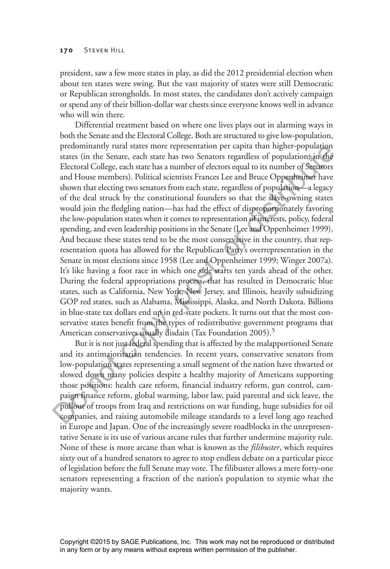president, saw a few more states in play, as did the 2012 presidential election when about ten states were swing. But the vast majority of states were still Democratic or Republican strongholds. In most states, the candidates don't actively campaign or spend any of their billion-dollar war chests since everyone knows well in advance who will win there.

Differential treatment based on where one lives plays out in alarming ways in both the Senate and the Electoral College. Both are structured to give low-population, predominantly rural states more representation per capita than higher-population states (in the Senate, each state has two Senators regardless of population; in the Electoral College, each state has a number of electors equal to its number of Senators and House members). Political scientists Frances Lee and Bruce Oppenheimer have shown that electing two senators from each state, regardless of population—a legacy of the deal struck by the constitutional founders so that the slave-owning states would join the fledgling nation—has had the effect of disproportionately favoring the low-population states when it comes to representation of interests, policy, federal spending, and even leadership positions in the Senate (Lee and Oppenheimer 1999). And because these states tend to be the most conservative in the country, that representation quota has allowed for the Republican Party's overrepresentation in the Senate in most elections since 1958 (Lee and Oppenheimer 1999; Winger 2007a). It's like having a foot race in which one side starts ten yards ahead of the other. During the federal appropriations process, that has resulted in Democratic blue states, such as California, New York, New Jersey, and Illinois, heavily subsidizing GOP red states, such as Alabama, Mississippi, Alaska, and North Dakota. Billions in blue-state tax dollars end up in red-state pockets. It turns out that the most conservative states benefit from the types of redistributive government programs that American conservatives usually disdain (Tax Foundation 2005).<sup>5</sup> preconuntanty rural states more representation per capita than in negar-population<br>factor. (in the Senate, each state has two Senators regardless of populations; in the<br>Electoral College, each state has a number of elector

But it is not just federal spending that is affected by the malapportioned Senate and its antimajoritarian tendencies. In recent years, conservative senators from low-population states representing a small segment of the nation have thwarted or slowed down many policies despite a healthy majority of Americans supporting those positions: health care reform, financial industry reform, gun control, campaign finance reform, global warming, labor law, paid parental and sick leave, the pullout of troops from Iraq and restrictions on war funding, huge subsidies for oil companies, and raising automobile mileage standards to a level long ago reached in Europe and Japan. One of the increasingly severe roadblocks in the unrepresentative Senate is its use of various arcane rules that further undermine majority rule. None of these is more arcane than what is known as the *filibuster*, which requires sixty out of a hundred senators to agree to stop endless debate on a particular piece of legislation before the full Senate may vote. The filibuster allows a mere forty-one senators representing a fraction of the nation's population to stymie what the majority wants.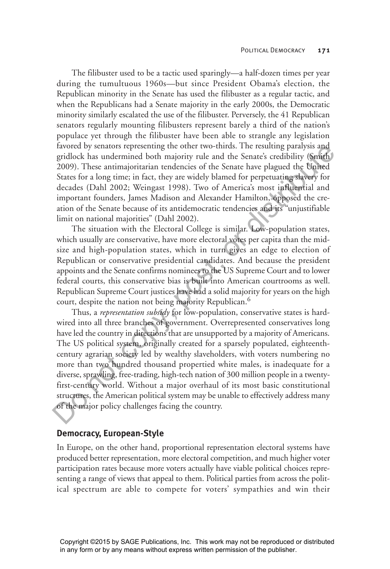The filibuster used to be a tactic used sparingly—a half-dozen times per year during the tumultuous 1960s—but since President Obama's election, the Republican minority in the Senate has used the filibuster as a regular tactic, and when the Republicans had a Senate majority in the early 2000s, the Democratic minority similarly escalated the use of the filibuster. Perversely, the 41 Republican senators regularly mounting filibusters represent barely a third of the nation's populace yet through the filibuster have been able to strangle any legislation favored by senators representing the other two-thirds. The resulting paralysis and gridlock has undermined both majority rule and the Senate's credibility (Smith 2009). These antimajoritarian tendencies of the Senate have plagued the United States for a long time; in fact, they are widely blamed for perpetuating slavery for decades (Dahl 2002; Weingast 1998). Two of America's most influential and important founders, James Madison and Alexander Hamilton, opposed the creation of the Senate because of its antidemocratic tendencies and its "unjustifiable limit on national majorities" (Dahl 2002).

The situation with the Electoral College is similar. Low-population states, which usually are conservative, have more electoral votes per capita than the midsize and high-population states, which in turn gives an edge to election of Republican or conservative presidential candidates. And because the president appoints and the Senate confirms nominees to the US Supreme Court and to lower federal courts, this conservative bias is built into American courtrooms as well. Republican Supreme Court justices have had a solid majority for years on the high court, despite the nation not being majority Republican.<sup>6</sup>

Thus, a *representation subsidy* for low-population, conservative states is hardwired into all three branches of government. Overrepresented conservatives long have led the country in directions that are unsupported by a majority of Americans. The US political system, originally created for a sparsely populated, eighteenthcentury agrarian society led by wealthy slaveholders, with voters numbering no more than two hundred thousand propertied white males, is inadequate for a diverse, sprawling, free-trading, high-tech nation of 300 million people in a twentyfirst-century world. Without a major overhaul of its most basic constitutional structures, the American political system may be unable to effectively address many of the major policy challenges facing the country. twored by sentors representing the other two-finits. In existing paralysis and<br>didok has undermined both majority rule and the Senate's credibility (Smith)<br>2009). These antimajoritarian tendencies of the Senate have plague

#### **Democracy, European-Style**

In Europe, on the other hand, proportional representation electoral systems have produced better representation, more electoral competition, and much higher voter participation rates because more voters actually have viable political choices representing a range of views that appeal to them. Political parties from across the political spectrum are able to compete for voters' sympathies and win their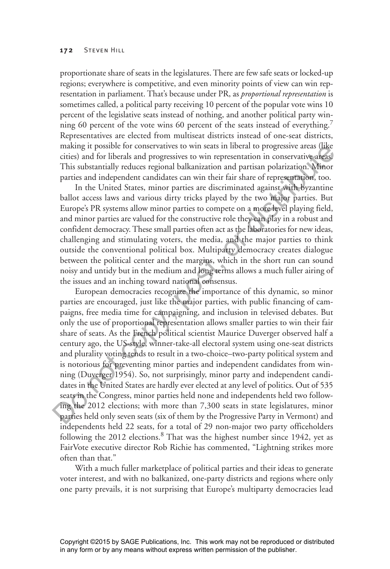proportionate share of seats in the legislatures. There are few safe seats or locked-up regions; everywhere is competitive, and even minority points of view can win representation in parliament. That's because under PR, as *proportional representation* is sometimes called, a political party receiving 10 percent of the popular vote wins 10 percent of the legislative seats instead of nothing, and another political party winning 60 percent of the vote wins 60 percent of the seats instead of everything.<sup>7</sup> Representatives are elected from multiseat districts instead of one-seat districts, making it possible for conservatives to win seats in liberal to progressive areas (like cities) and for liberals and progressives to win representation in conservative areas. This substantially reduces regional balkanization and partisan polarization. Minor parties and independent candidates can win their fair share of representation, too.

In the United States, minor parties are discriminated against with byzantine ballot access laws and various dirty tricks played by the two major parties. But Europe's PR systems allow minor parties to compete on a more level playing field, and minor parties are valued for the constructive role they can play in a robust and confident democracy. These small parties often act as the laboratories for new ideas, challenging and stimulating voters, the media, and the major parties to think outside the conventional political box. Multiparty democracy creates dialogue between the political center and the margins, which in the short run can sound noisy and untidy but in the medium and long terms allows a much fuller airing of the issues and an inching toward national consensus.

European democracies recognize the importance of this dynamic, so minor parties are encouraged, just like the major parties, with public financing of campaigns, free media time for campaigning, and inclusion in televised debates. But only the use of proportional representation allows smaller parties to win their fair share of seats. As the French political scientist Maurice Duverger observed half a century ago, the US-style, winner-take-all electoral system using one-seat districts and plurality voting tends to result in a two-choice–two-party political system and is notorious for preventing minor parties and independent candidates from winning (Duverger 1954). So, not surprisingly, minor party and independent candidates in the United States are hardly ever elected at any level of politics. Out of 535 seats in the Congress, minor parties held none and independents held two following the 2012 elections; with more than 7,300 seats in state legislatures, minor parties held only seven seats (six of them by the Progressive Party in Vermont) and independents held 22 seats, for a total of 29 non-major two party officeholders following the 2012 elections.<sup>8</sup> That was the highest number since 1942, yet as FairVote executive director Rob Richie has commented, "Lightning strikes more often than that." making it possible for conservants to win seats in liberal to progressive areas (live<br>alities) and for liberals and progressives to win representation in conservative areas<br>This substantially reduces regional balkanization

With a much fuller marketplace of political parties and their ideas to generate voter interest, and with no balkanized, one-party districts and regions where only one party prevails, it is not surprising that Europe's multiparty democracies lead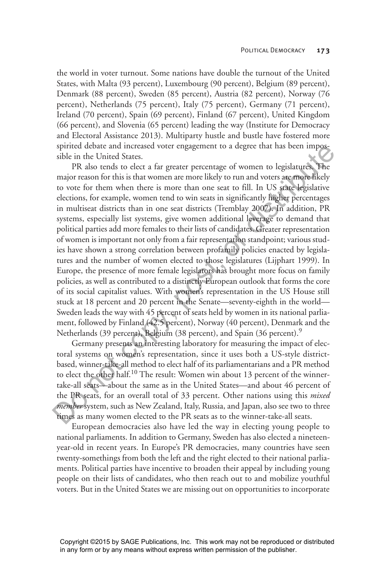the world in voter turnout. Some nations have double the turnout of the United States, with Malta (93 percent), Luxembourg (90 percent), Belgium (89 percent), Denmark (88 percent), Sweden (85 percent), Austria (82 percent), Norway (76 percent), Netherlands (75 percent), Italy (75 percent), Germany (71 percent), Ireland (70 percent), Spain (69 percent), Finland (67 percent), United Kingdom (66 percent), and Slovenia (65 percent) leading the way (Institute for Democracy and Electoral Assistance 2013). Multiparty hustle and bustle have fostered more spirited debate and increased voter engagement to a degree that has been impossible in the United States.

PR also tends to elect a far greater percentage of women to legislatures. The major reason for this is that women are more likely to run and voters are more likely to vote for them when there is more than one seat to fill. In US state legislative elections, for example, women tend to win seats in significantly higher percentages in multiseat districts than in one seat districts (Tremblay 2007). In addition, PR systems, especially list systems, give women additional leverage to demand that political parties add more females to their lists of candidates. Greater representation of women is important not only from a fair representation standpoint; various studies have shown a strong correlation between profamily policies enacted by legislatures and the number of women elected to those legislatures (Lijphart 1999). In Europe, the presence of more female legislators has brought more focus on family policies, as well as contributed to a distinctly European outlook that forms the core of its social capitalist values. With women's representation in the US House still stuck at 18 percent and 20 percent in the Senate—seventy-eighth in the world— Sweden leads the way with 45 percent of seats held by women in its national parliament, followed by Finland (42.5 percent), Norway (40 percent), Denmark and the Netherlands (39 percent), Belgium (38 percent), and Spain (36 percent).<sup>9</sup> spirited detailed and increase on the measure of the main of a degree that has been impossible in the United States. The angior reason for this is that women are more likely to run and voters are **more likely** to cover fo

Germany presents an interesting laboratory for measuring the impact of electoral systems on women's representation, since it uses both a US-style districtbased, winner-take-all method to elect half of its parliamentarians and a PR method to elect the other half.<sup>10</sup> The result: Women win about 13 percent of the winnertake-all seats—about the same as in the United States—and about 46 percent of the PR seats, for an overall total of 33 percent. Other nations using this *mixed member* system, such as New Zealand, Italy, Russia, and Japan, also see two to three times as many women elected to the PR seats as to the winner-take-all seats.

European democracies also have led the way in electing young people to national parliaments. In addition to Germany, Sweden has also elected a nineteenyear-old in recent years. In Europe's PR democracies, many countries have seen twenty-somethings from both the left and the right elected to their national parliaments. Political parties have incentive to broaden their appeal by including young people on their lists of candidates, who then reach out to and mobilize youthful voters. But in the United States we are missing out on opportunities to incorporate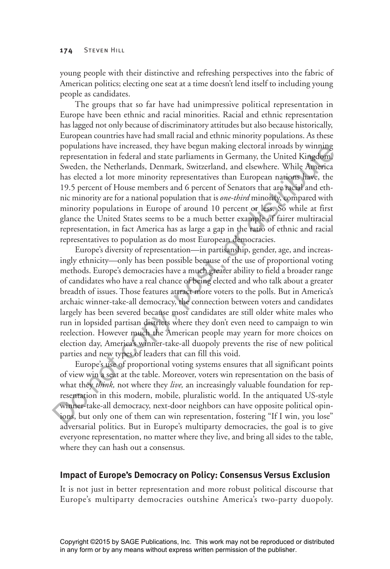young people with their distinctive and refreshing perspectives into the fabric of American politics; electing one seat at a time doesn't lend itself to including young people as candidates.

The groups that so far have had unimpressive political representation in Europe have been ethnic and racial minorities. Racial and ethnic representation has lagged not only because of discriminatory attitudes but also because historically, European countries have had small racial and ethnic minority populations. As these populations have increased, they have begun making electoral inroads by winning representation in federal and state parliaments in Germany, the United Kingdom, Sweden, the Netherlands, Denmark, Switzerland, and elsewhere. While America has elected a lot more minority representatives than European nations have, the 19.5 percent of House members and 6 percent of Senators that are racial and ethnic minority are for a national population that is *one-third* minority, compared with minority populations in Europe of around 10 percent or less. So while at first glance the United States seems to be a much better example of fairer multiracial representation, in fact America has as large a gap in the ratio of ethnic and racial representatives to population as do most European democracies.

Europe's diversity of representation—in partisanship, gender, age, and increasingly ethnicity—only has been possible because of the use of proportional voting methods. Europe's democracies have a much greater ability to field a broader range of candidates who have a real chance of being elected and who talk about a greater breadth of issues. Those features attract more voters to the polls. But in America's archaic winner-take-all democracy, the connection between voters and candidates largely has been severed because most candidates are still older white males who run in lopsided partisan districts where they don't even need to campaign to win reelection. However much the American people may yearn for more choices on election day, America's winner-take-all duopoly prevents the rise of new political parties and new types of leaders that can fill this void. populations have mereased, they have began making electron inroads by winning<br>persentation in federal and state parliaments in Germany, the United Kingdom<br>Sweden, the Netherlands, Denmark, Switzerland, and elsewhere. Whil

Europe's use of proportional voting systems ensures that all significant points of view win a seat at the table. Moreover, voters win representation on the basis of what they *think,* not where they *live,* an increasingly valuable foundation for representation in this modern, mobile, pluralistic world. In the antiquated US-style winner-take-all democracy, next-door neighbors can have opposite political opinions, but only one of them can win representation, fostering "If I win, you lose" adversarial politics. But in Europe's multiparty democracies, the goal is to give everyone representation, no matter where they live, and bring all sides to the table, where they can hash out a consensus.

## **Impact of Europe's Democracy on Policy: Consensus Versus Exclusion**

It is not just in better representation and more robust political discourse that Europe's multiparty democracies outshine America's two-party duopoly.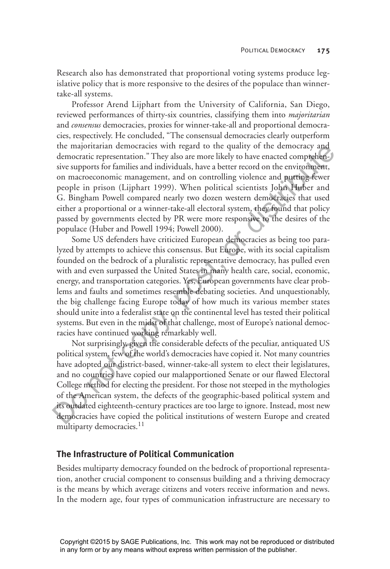Research also has demonstrated that proportional voting systems produce legislative policy that is more responsive to the desires of the populace than winnertake-all systems.

Professor Arend Lijphart from the University of California, San Diego, reviewed performances of thirty-six countries, classifying them into *majoritarian* and *consensus* democracies, proxies for winner-take-all and proportional democracies, respectively. He concluded, "The consensual democracies clearly outperform the majoritarian democracies with regard to the quality of the democracy and democratic representation." They also are more likely to have enacted comprehensive supports for families and individuals, have a better record on the environment, on macroeconomic management, and on controlling violence and putting fewer people in prison (Lijphart 1999). When political scientists John Huber and G. Bingham Powell compared nearly two dozen western democracies that used either a proportional or a winner-take-all electoral system, they found that policy passed by governments elected by PR were more responsive to the desires of the populace (Huber and Powell 1994; Powell 2000).

Some US defenders have criticized European democracies as being too paralyzed by attempts to achieve this consensus. But Europe, with its social capitalism founded on the bedrock of a pluralistic representative democracy, has pulled even with and even surpassed the United States in many health care, social, economic, energy, and transportation categories. Yes, European governments have clear problems and faults and sometimes resemble debating societies. And unquestionably, the big challenge facing Europe today of how much its various member states should unite into a federalist state on the continental level has tested their political systems. But even in the midst of that challenge, most of Europe's national democracies have continued working remarkably well. the magnotration democrates with regard to the quality of the democratic representation." They also are more likely to have enacted completent, son macroeconomic management, and on controlling violence and purtuge fewer si

Not surprisingly, given the considerable defects of the peculiar, antiquated US political system, few of the world's democracies have copied it. Not many countries have adopted our district-based, winner-take-all system to elect their legislatures, and no countries have copied our malapportioned Senate or our flawed Electoral College method for electing the president. For those not steeped in the mythologies of the American system, the defects of the geographic-based political system and its outdated eighteenth-century practices are too large to ignore. Instead, most new democracies have copied the political institutions of western Europe and created multiparty democracies.<sup>11</sup>

## **The Infrastructure of Political Communication**

Besides multiparty democracy founded on the bedrock of proportional representation, another crucial component to consensus building and a thriving democracy is the means by which average citizens and voters receive information and news. In the modern age, four types of communication infrastructure are necessary to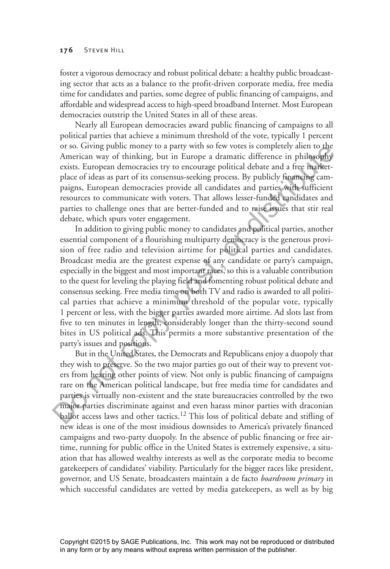#### **176** STEVEN HILL

foster a vigorous democracy and robust political debate: a healthy public broadcasting sector that acts as a balance to the profit-driven corporate media, free media time for candidates and parties, some degree of public financing of campaigns, and affordable and widespread access to high-speed broadband Internet. Most European democracies outstrip the United States in all of these areas.

Nearly all European democracies award public financing of campaigns to all political parties that achieve a minimum threshold of the vote, typically 1 percent or so. Giving public money to a party with so few votes is completely alien to the American way of thinking, but in Europe a dramatic difference in philosophy exists. European democracies try to encourage political debate and a free marketplace of ideas as part of its consensus-seeking process. By publicly financing campaigns, European democracies provide all candidates and parties with sufficient resources to communicate with voters. That allows lesser-funded candidates and parties to challenge ones that are better-funded and to raise issues that stir real debate, which spurs voter engagement.

In addition to giving public money to candidates and political parties, another essential component of a flourishing multiparty democracy is the generous provision of free radio and television airtime for political parties and candidates. Broadcast media are the greatest expense of any candidate or party's campaign, especially in the biggest and most important races, so this is a valuable contribution to the quest for leveling the playing field and fomenting robust political debate and consensus seeking. Free media time on both TV and radio is awarded to all political parties that achieve a minimum threshold of the popular vote, typically 1 percent or less, with the bigger parties awarded more airtime. Ad slots last from five to ten minutes in length, considerably longer than the thirty-second sound bites in US political ads. This permits a more substantive presentation of the party's issues and positions. or so. Giving pluble money to a party with so few votes is completely altern to the<br>Smerican way of thinking, but in Europe a dramatic difference in philosophy<br>exists. European democracies try to encourage political debate

But in the United States, the Democrats and Republicans enjoy a duopoly that they wish to preserve. So the two major parties go out of their way to prevent voters from hearing other points of view. Not only is public financing of campaigns rare on the American political landscape, but free media time for candidates and parties is virtually non-existent and the state bureaucracies controlled by the two major parties discriminate against and even harass minor parties with draconian ballot access laws and other tactics.<sup>12</sup> This loss of political debate and stifling of new ideas is one of the most insidious downsides to America's privately financed campaigns and two-party duopoly. In the absence of public financing or free airtime, running for public office in the United States is extremely expensive, a situation that has allowed wealthy interests as well as the corporate media to become gatekeepers of candidates' viability. Particularly for the bigger races like president, governor, and US Senate, broadcasters maintain a de facto *boardroom primary* in which successful candidates are vetted by media gatekeepers, as well as by big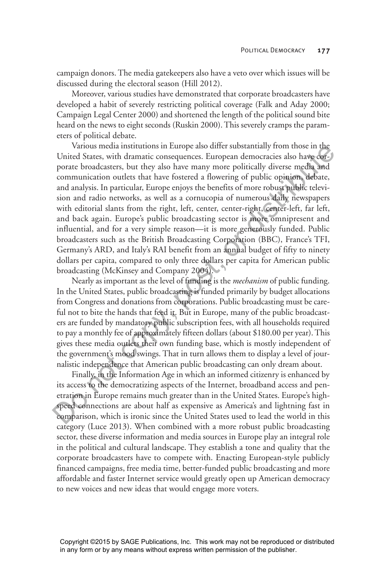campaign donors. The media gatekeepers also have a veto over which issues will be discussed during the electoral season (Hill 2012).

Moreover, various studies have demonstrated that corporate broadcasters have developed a habit of severely restricting political coverage (Falk and Aday 2000; Campaign Legal Center 2000) and shortened the length of the political sound bite heard on the news to eight seconds (Ruskin 2000). This severely cramps the parameters of political debate.

Various media institutions in Europe also differ substantially from those in the United States, with dramatic consequences. European democracies also have corporate broadcasters, but they also have many more politically diverse media and communication outlets that have fostered a flowering of public opinion, debate, and analysis. In particular, Europe enjoys the benefits of more robust public television and radio networks, as well as a cornucopia of numerous daily newspapers with editorial slants from the right, left, center, center-right, center-left, far left, and back again. Europe's public broadcasting sector is more omnipresent and influential, and for a very simple reason—it is more generously funded. Public broadcasters such as the British Broadcasting Corporation (BBC), France's TFI, Germany's ARD, and Italy's RAI benefit from an annual budget of fifty to ninety dollars per capita, compared to only three dollars per capita for American public broadcasting (McKinsey and Company 2004). Various meata institutions in Europe asso direct substantially from those in the<br>mate States, with dramatic consequences. European democracies also have one-<br>porate broadcasters, but they also have many more politically d

Nearly as important as the level of funding is the *mechanism* of public funding. In the United States, public broadcasting is funded primarily by budget allocations from Congress and donations from corporations. Public broadcasting must be careful not to bite the hands that feed it. But in Europe, many of the public broadcasters are funded by mandatory public subscription fees, with all households required to pay a monthly fee of approximately fifteen dollars (about \$180.00 per year). This gives these media outlets their own funding base, which is mostly independent of the government's mood swings. That in turn allows them to display a level of journalistic independence that American public broadcasting can only dream about.

Finally, in the Information Age in which an informed citizenry is enhanced by its access to the democratizing aspects of the Internet, broadband access and penetration in Europe remains much greater than in the United States. Europe's highspeed connections are about half as expensive as America's and lightning fast in comparison, which is ironic since the United States used to lead the world in this category (Luce 2013). When combined with a more robust public broadcasting sector, these diverse information and media sources in Europe play an integral role in the political and cultural landscape. They establish a tone and quality that the corporate broadcasters have to compete with. Enacting European-style publicly financed campaigns, free media time, better-funded public broadcasting and more affordable and faster Internet service would greatly open up American democracy to new voices and new ideas that would engage more voters.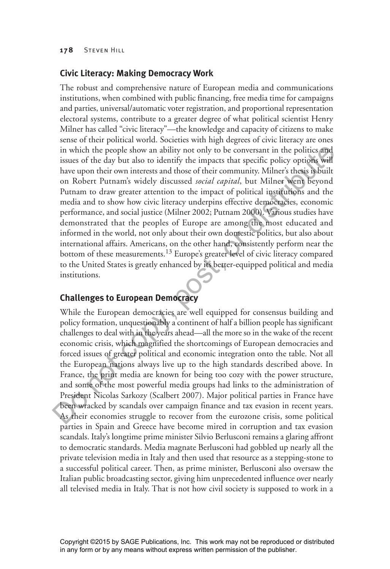## **Civic Literacy: Making Democracy Work**

The robust and comprehensive nature of European media and communications institutions, when combined with public financing, free media time for campaigns and parties, universal/automatic voter registration, and proportional representation electoral systems, contribute to a greater degree of what political scientist Henry Milner has called "civic literacy"—the knowledge and capacity of citizens to make sense of their political world. Societies with high degrees of civic literacy are ones in which the people show an ability not only to be conversant in the politics and issues of the day but also to identify the impacts that specific policy options will have upon their own interests and those of their community. Milner's thesis is built on Robert Putnam's widely discussed *social capital*, but Milner went beyond Putnam to draw greater attention to the impact of political institutions and the media and to show how civic literacy underpins effective democracies, economic performance, and social justice (Milner 2002; Putnam 2000). Various studies have demonstrated that the peoples of Europe are among the most educated and informed in the world, not only about their own domestic politics, but also about international affairs. Americans, on the other hand, consistently perform near the bottom of these measurements.<sup>13</sup> Europe's greater level of civic literacy compared to the United States is greatly enhanced by its better-equipped political and media institutions. in which the people show an ability not only to be conversant in the politics and<br>issues of the day but also to identify the impacts that specific policy options will<br>are upon their own interests and those of their commun

# **Challenges to European Democracy**

While the European democracies are well equipped for consensus building and policy formation, unquestionably a continent of half a billion people has significant challenges to deal with in the years ahead—all the more so in the wake of the recent economic crisis, which magnified the shortcomings of European democracies and forced issues of greater political and economic integration onto the table. Not all the European nations always live up to the high standards described above. In France, the print media are known for being too cozy with the power structure, and some of the most powerful media groups had links to the administration of President Nicolas Sarkozy (Scalbert 2007). Major political parties in France have been wracked by scandals over campaign finance and tax evasion in recent years. As their economies struggle to recover from the eurozone crisis, some political parties in Spain and Greece have become mired in corruption and tax evasion scandals. Italy's longtime prime minister Silvio Berlusconi remains a glaring affront to democratic standards. Media magnate Berlusconi had gobbled up nearly all the private television media in Italy and then used that resource as a stepping-stone to a successful political career. Then, as prime minister, Berlusconi also oversaw the Italian public broadcasting sector, giving him unprecedented influence over nearly all televised media in Italy. That is not how civil society is supposed to work in a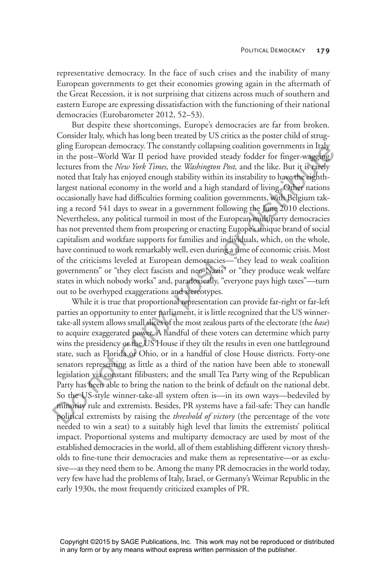representative democracy. In the face of such crises and the inability of many European governments to get their economies growing again in the aftermath of the Great Recession, it is not surprising that citizens across much of southern and eastern Europe are expressing dissatisfaction with the functioning of their national democracies (Eurobarometer 2012, 52–53).

But despite these shortcomings, Europe's democracies are far from broken. Consider Italy, which has long been treated by US critics as the poster child of struggling European democracy. The constantly collapsing coalition governments in Italy in the post–World War II period have provided steady fodder for finger-wagging lectures from the *New York Times,* the *Washington Post,* and the like. But it is rarely noted that Italy has enjoyed enough stability within its instability to have the eighthlargest national economy in the world and a high standard of living. Other nations occasionally have had difficulties forming coalition governments, with Belgium taking a record 541 days to swear in a government following the June 2010 elections. Nevertheless, any political turmoil in most of the European multiparty democracies has not prevented them from prospering or enacting Europe's unique brand of social capitalism and workfare supports for families and individuals, which, on the whole, have continued to work remarkably well, even during a time of economic crisis. Most of the criticisms leveled at European democracies—"they lead to weak coalition governments" or "they elect fascists and neo-Nazis" or "they produce weak welfare states in which nobody works" and, paradoxically, "everyone pays high taxes"—turn out to be overhyped exaggerations and stereotypes. ging turopean democracies—the constantino parameters in the post-World War II period have provided steady fodder for finger-valging<br>lectures from the *New York Times*, the *Washington Post*, and the like. But it is carely

While it is true that proportional representation can provide far-right or far-left parties an opportunity to enter parliament, it is little recognized that the US winnertake-all system allows small slices of the most zealous parts of the electorate (the *base*) to acquire exaggerated power. A handful of these voters can determine which party wins the presidency or the US House if they tilt the results in even one battleground state, such as Florida or Ohio, or in a handful of close House districts. Forty-one senators representing as little as a third of the nation have been able to stonewall legislation via constant filibusters; and the small Tea Party wing of the Republican Party has been able to bring the nation to the brink of default on the national debt. So the US-style winner-take-all system often is—in its own ways—bedeviled by minority rule and extremists. Besides, PR systems have a fail-safe: They can handle political extremists by raising the *threshold of victory* (the percentage of the vote needed to win a seat) to a suitably high level that limits the extremists' political impact. Proportional systems and multiparty democracy are used by most of the established democracies in the world, all of them establishing different victory thresholds to fine-tune their democracies and make them as representative—or as exclusive—as they need them to be. Among the many PR democracies in the world today, very few have had the problems of Italy, Israel, or Germany's Weimar Republic in the early 1930s, the most frequently criticized examples of PR.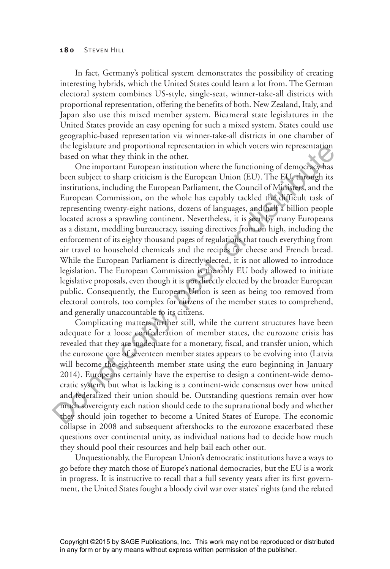In fact, Germany's political system demonstrates the possibility of creating interesting hybrids, which the United States could learn a lot from. The German electoral system combines US-style, single-seat, winner-take-all districts with proportional representation, offering the benefits of both. New Zealand, Italy, and Japan also use this mixed member system. Bicameral state legislatures in the United States provide an easy opening for such a mixed system. States could use geographic-based representation via winner-take-all districts in one chamber of the legislature and proportional representation in which voters win representation based on what they think in the other.

One important European institution where the functioning of democracy has been subject to sharp criticism is the European Union (EU). The EU, through its institutions, including the European Parliament, the Council of Ministers, and the European Commission, on the whole has capably tackled the difficult task of representing twenty-eight nations, dozens of languages, and half a billion people located across a sprawling continent. Nevertheless, it is seen by many Europeans as a distant, meddling bureaucracy, issuing directives from on high, including the enforcement of its eighty thousand pages of regulations that touch everything from air travel to household chemicals and the recipes for cheese and French bread. While the European Parliament is directly elected, it is not allowed to introduce legislation. The European Commission is the only EU body allowed to initiate legislative proposals, even though it is not directly elected by the broader European public. Consequently, the European Union is seen as being too removed from electoral controls, too complex for citizens of the member states to comprehend, and generally unaccountable to its citizens. the legislature and proportonal representation in which voters win representation<br>based on what they think in the other.<br>One important European institution where the functioning of democracy has<br>been subject to sharp criti

Complicating matters further still, while the current structures have been adequate for a loose confederation of member states, the eurozone crisis has revealed that they are inadequate for a monetary, fiscal, and transfer union, which the eurozone core of seventeen member states appears to be evolving into (Latvia will become the eighteenth member state using the euro beginning in January 2014). Europeans certainly have the expertise to design a continent-wide democratic system, but what is lacking is a continent-wide consensus over how united and federalized their union should be. Outstanding questions remain over how much sovereignty each nation should cede to the supranational body and whether they should join together to become a United States of Europe. The economic collapse in 2008 and subsequent aftershocks to the eurozone exacerbated these questions over continental unity, as individual nations had to decide how much they should pool their resources and help bail each other out.

Unquestionably, the European Union's democratic institutions have a ways to go before they match those of Europe's national democracies, but the EU is a work in progress. It is instructive to recall that a full seventy years after its first government, the United States fought a bloody civil war over states' rights (and the related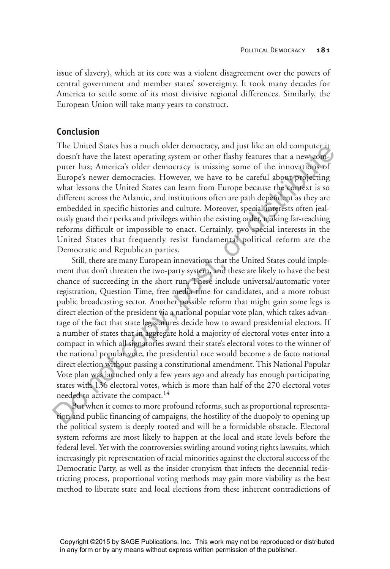issue of slavery), which at its core was a violent disagreement over the powers of central government and member states' sovereignty. It took many decades for America to settle some of its most divisive regional differences. Similarly, the European Union will take many years to construct.

## **Conclusion**

The United States has a much older democracy, and just like an old computer it doesn't have the latest operating system or other flashy features that a new computer has; America's older democracy is missing some of the innovations of Europe's newer democracies. However, we have to be careful about projecting what lessons the United States can learn from Europe because the context is so different across the Atlantic, and institutions often are path dependent as they are embedded in specific histories and culture. Moreover, special interests often jealously guard their perks and privileges within the existing order, making far-reaching reforms difficult or impossible to enact. Certainly, two special interests in the United States that frequently resist fundamental political reform are the Democratic and Republican parties.

Still, there are many European innovations that the United States could implement that don't threaten the two-party system, and these are likely to have the best chance of succeeding in the short run. These include universal/automatic voter registration, Question Time, free media time for candidates, and a more robust public broadcasting sector. Another possible reform that might gain some legs is direct election of the president via a national popular vote plan, which takes advantage of the fact that state legislatures decide how to award presidential electors. If a number of states that in aggregate hold a majority of electoral votes enter into a compact in which all signatories award their state's electoral votes to the winner of the national popular vote, the presidential race would become a de facto national direct election without passing a constitutional amendment. This National Popular Vote plan was launched only a few years ago and already has enough participating states with 136 electoral votes, which is more than half of the 270 electoral votes needed to activate the compact.<sup>14</sup> The United States has a much older remocracy, and just like an old computer that the denoting system or other flashy features that a new computer has; America's older democracy is missing some of the innovations of Europe

But when it comes to more profound reforms, such as proportional representation and public financing of campaigns, the hostility of the duopoly to opening up the political system is deeply rooted and will be a formidable obstacle. Electoral system reforms are most likely to happen at the local and state levels before the federal level. Yet with the controversies swirling around voting rights lawsuits, which increasingly pit representation of racial minorities against the electoral success of the Democratic Party, as well as the insider cronyism that infects the decennial redistricting process, proportional voting methods may gain more viability as the best method to liberate state and local elections from these inherent contradictions of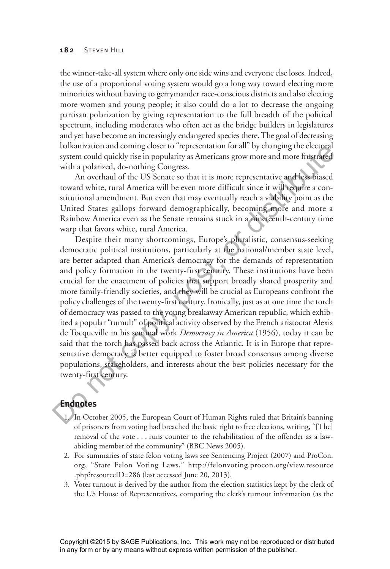the winner-take-all system where only one side wins and everyone else loses. Indeed, the use of a proportional voting system would go a long way toward electing more minorities without having to gerrymander race-conscious districts and also electing more women and young people; it also could do a lot to decrease the ongoing partisan polarization by giving representation to the full breadth of the political spectrum, including moderates who often act as the bridge builders in legislatures and yet have become an increasingly endangered species there. The goal of decreasing balkanization and coming closer to "representation for all" by changing the electoral system could quickly rise in popularity as Americans grow more and more frustrated with a polarized, do-nothing Congress.

An overhaul of the US Senate so that it is more representative and less biased toward white, rural America will be even more difficult since it will require a constitutional amendment. But even that may eventually reach a viability point as the United States gallops forward demographically, becoming more and more a Rainbow America even as the Senate remains stuck in a nineteenth-century time warp that favors white, rural America.

Despite their many shortcomings, Europe's pluralistic, consensus-seeking democratic political institutions, particularly at the national/member state level, are better adapted than America's democracy for the demands of representation and policy formation in the twenty-first century. These institutions have been crucial for the enactment of policies that support broadly shared prosperity and more family-friendly societies, and they will be crucial as Europeans confront the policy challenges of the twenty-first century. Ironically, just as at one time the torch of democracy was passed to the young breakaway American republic, which exhibited a popular "tumult" of political activity observed by the French aristocrat Alexis de Tocqueville in his seminal work *Democracy in America* (1956)*,* today it can be said that the torch has passed back across the Atlantic. It is in Europe that representative democracy is better equipped to foster broad consensus among diverse populations, stakeholders, and interests about the best policies necessary for the twenty-first century. balk and complete enectoral<br>
and complete the presentation brail by changing the electoral<br>
system could quickly rise in popularity as Americans grow more and more frustrated<br>
with a polarized, do-nothing Congress.<br>
An ove

# **Endnotes**

- 1. In October 2005, the European Court of Human Rights ruled that Britain's banning of prisoners from voting had breached the basic right to free elections, writing, "[The] removal of the vote . . . runs counter to the rehabilitation of the offender as a lawabiding member of the community" (BBC News 2005).
- 2. For summaries of state felon voting laws see Sentencing Project (2007) and ProCon. org, "State Felon Voting Laws," http://felonvoting.procon.org/view.resource .php?resourceID=286 (last accessed June 20, 2013).
- 3. Voter turnout is derived by the author from the election statistics kept by the clerk of the US House of Representatives, comparing the clerk's turnout information (as the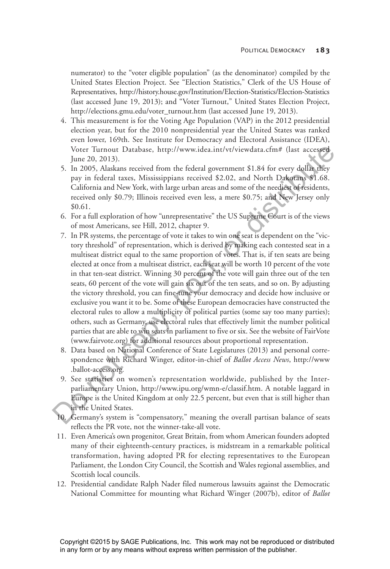numerator) to the "voter eligible population" (as the denominator) compiled by the United States Election Project. See "Election Statistics," Clerk of the US House of Representatives, http://history.house.gov/Institution/Election-Statistics/Election-Statistics (last accessed June 19, 2013); and "Voter Turnout," United States Election Project, http://elections.gmu.edu/voter\_turnout.htm (last accessed June 19, 2013).

- 4. This measurement is for the Voting Age Population (VAP) in the 2012 presidential election year, but for the 2010 nonpresidential year the United States was ranked even lower, 169th. See Institute for Democracy and Electoral Assistance (IDEA), Voter Turnout Database, http://www.idea.int/vt/viewdata.cfm# (last accessed June 20, 2013).
- 5. In 2005, Alaskans received from the federal government \$1.84 for every dollar they pay in federal taxes, Mississippians received \$2.02, and North Dakotans \$1.68. California and New York, with large urban areas and some of the neediest of residents, received only \$0.79; Illinois received even less, a mere \$0.75; and New Jersey only \$0.61.
- 6. For a full exploration of how "unrepresentative" the US Supreme Court is of the views of most Americans, see Hill, 2012, chapter 9.
- 7. In PR systems, the percentage of vote it takes to win one seat is dependent on the "victory threshold" of representation, which is derived by making each contested seat in a multiseat district equal to the same proportion of votes. That is, if ten seats are being elected at once from a multiseat district, each seat will be worth 10 percent of the vote in that ten-seat district. Winning 30 percent of the vote will gain three out of the ten seats, 60 percent of the vote will gain six out of the ten seats, and so on. By adjusting the victory threshold, you can fine-tune your democracy and decide how inclusive or exclusive you want it to be. Some of these European democracies have constructed the electoral rules to allow a multiplicity of political parties (some say too many parties); others, such as Germany, use electoral rules that effectively limit the number political parties that are able to win seats in parliament to five or six. See the website of FairVote (www.fairvote.org) for additional resources about proportional representation. Voter Turnout Database, http://www.idea.int/vt/viewdata.cfm# (last accessed<br>
J. In 2005, Alaskans received from the federal government \$1.84 for every dollar diey<br>
5. In 2005, Alaskans received from the federal government
	- 8. Data based on National Conference of State Legislatures (2013) and personal correspondence with Richard Winger, editor-in-chief of *Ballot Access News*, http://www .ballot-access.org*.*
	- 9. See statistics on women's representation worldwide, published by the Interparliamentary Union, http://www.ipu.org/wmn-e/classif.htm. A notable laggard in Europe is the United Kingdom at only 22.5 percent, but even that is still higher than in the United States.
	- 10. Germany's system is "compensatory," meaning the overall partisan balance of seats reflects the PR vote, not the winner-take-all vote.
	- 11. Even America's own progenitor, Great Britain, from whom American founders adopted many of their eighteenth-century practices, is midstream in a remarkable political transformation, having adopted PR for electing representatives to the European Parliament, the London City Council, the Scottish and Wales regional assemblies, and Scottish local councils.
	- 12. Presidential candidate Ralph Nader filed numerous lawsuits against the Democratic National Committee for mounting what Richard Winger (2007b), editor of *Ballot*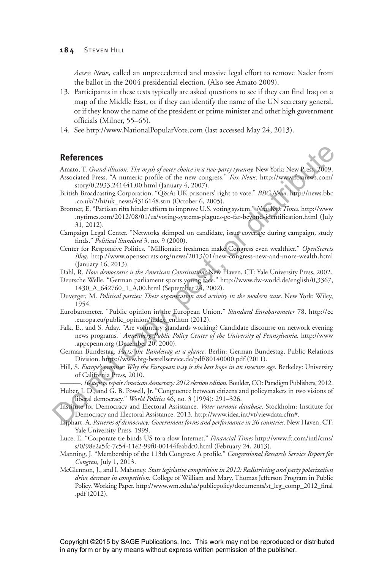*Access News,* called an unprecedented and massive legal effort to remove Nader from the ballot in the 2004 presidential election. (Also see Amato 2009).

- 13. Participants in these tests typically are asked questions to see if they can find Iraq on a map of the Middle East, or if they can identify the name of the UN secretary general, or if they know the name of the president or prime minister and other high government officials (Milner, 55–65).
- 14. See http://www.NationalPopularVote.com (last accessed May 24, 2013).

### **References**

Amato, T. *Grand illusion: The myth of voter choice in a two-party tyranny.* New York: New Press, 2009. Associated Press. "A numeric profile of the new congress." *Fox News*. http://www.foxnews.com/

- story/0,2933,241441,00.html (January 4, 2007). British Broadcasting Corporation. "Q&A: UK prisoners' right to vote." *BBC News*. http://news.bbc .co.uk/2/hi/uk\_news/4316148.stm (October 6, 2005).
- Bronner, E. "Partisan rifts hinder efforts to improve U.S. voting system." *New York Times*. http://www .nytimes.com/2012/08/01/us/voting-systems-plagues-go-far-beyond-identification.html (July 31, 2012). **References**<br>
Amato, T. *Grand illusion: The myth of voter choice in a two-parry tyramy*. New York: New Press, Associated Press, <sup>2</sup> and the interved proportion. "Qeven Copy, the torococ." *BBCANew*. The compution  $\sim$  0.
	- Campaign Legal Center. "Networks skimped on candidate, issue coverage during campaign, study finds." *Political Standard* 3, no. 9 (2000).
	- Center for Responsive Politics. "Millionaire freshmen make Congress even wealthier." *OpenSecrets Blog*. http://www.opensecrets.org/news/2013/01/new-congress-new-and-more-wealth.html (January 16, 2013).

Dahl, R. *How democratic is the American Constitution?* New Haven, CT: Yale University Press, 2002.

Deutsche Welle. "German parliament sports young face." http://www.dw-world.de/english/0,3367, 1430\_A\_642760\_1\_A,00.html (September 24, 2002).

- Duverger, M. *Political parties: Their organization and activity in the modern state*. New York: Wiley, 1954.
- Eurobarometer. "Public opinion in the European Union." *Standard Eurobarometer* 78. http://ec .europa.eu/public\_opinion/index\_en.htm (2012).
- Falk, E., and S. Aday. "Are voluntary standards working? Candidate discourse on network evening news programs." *Annenberg Public Policy Center of the University of Pennsylvania.* http://www .appcpenn.org (December 20, 2000).
- German Bundestag. *Facts: the Bundestag at a glance*. Berlin: German Bundestag, Public Relations Division. https://www.btg-bestellservice.de/pdf/80140000.pdf (2011).
- Hill, S. *Europe's promise: Why the European way is the best hope in an insecure age*. Berkeley: University of California Press, 2010.

———. *10 steps to repair American democracy: 2012 election edition*. Boulder, CO: Paradigm Publishers, 2012.

- Huber, J. D., and G. B. Powell, Jr. "Congruence between citizens and policymakers in two visions of liberal democracy." *World Politics* 46, no. 3 (1994): 291–326.
- Institute for Democracy and Electoral Assistance. *Voter turnout database*. Stockholm: Institute for Democracy and Electoral Assistance, 2013. http://www.idea.int/vt/viewdata.cfm#.
- Lijphart, A. *Patterns of democracy: Government forms and performance in 36 countries*. New Haven, CT: Yale University Press, 1999.
- Luce, E. "Corporate tie binds US to a slow Internet." *Financial Times* http://www.ft.com/intl/cms/ s/0/98e2a5fc-7c54-11e2-99f0-00144feabdc0.html (February 24, 2013).
- Manning, J. "Membership of the 113th Congress: A profile." *Congressional Research Service Report for Congress,* July 1, 2013.
- McGlennon, J., and I. Mahoney. *State legislative competition in 2012: Redistricting and party polarization drive decrease in competition.* College of William and Mary, Thomas Jefferson Program in Public Policy. Working Paper. http://www.wm.edu/as/publicpolicy/documents/st\_leg\_comp\_2012\_final .pdf (2012).